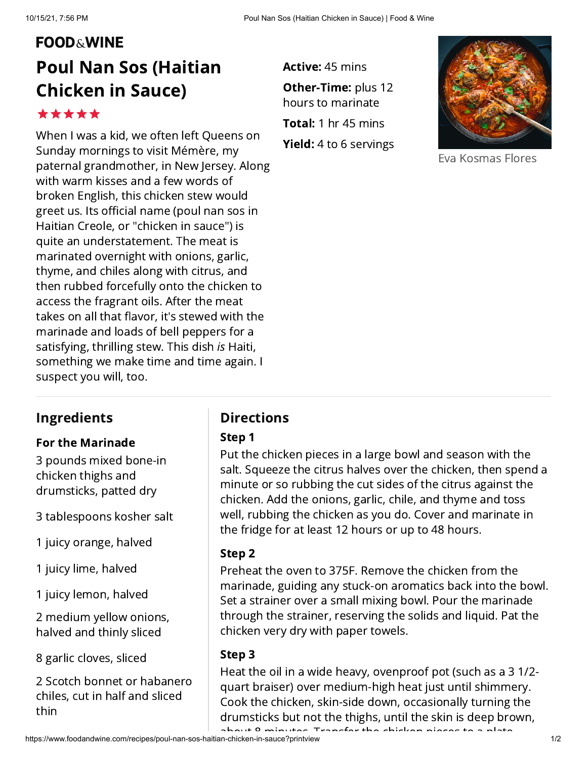# **FOOD&WINE**

# Poul Nan Sos (Haitian Chicken in Sauce)

\*\*\*\*\*

When I was a kid, we often left Queens on Sunday mornings to visit Mémère, my paternal grandmother, in New Jersey. Along with warm kisses and a few words of broken English, this chicken stew would greet us. Its official name (poul nan sos in Haitian Creole, or "chicken in sauce") is quite an understatement. The meat is marinated overnight with onions, garlic, thyme, and chiles along with citrus, and then rubbed forcefully onto the chicken to access the fragrant oils. After the meat takes on all that flavor, it's stewed with the marinade and loads of bell peppers for a satisfying, thrilling stew. This dish is Haiti, something we make time and time again. I suspect you will, too.

**Active:** 45 mins **Other-Time:** plus 12 **Total:** 1 hr 45 mins **Yield:** 4 to 6 servings hours to marinate



Eva Kosmas Flores

# Ingredients

#### For the Marinade

3 pounds mixed bone-in chicken thighs and drumsticks, patted dry

3 tablespoons kosher salt

1 juicy orange, halved

1 juicy lime, halved

1 juicy lemon, halved

2 medium yellow onions, halved and thinly sliced

8 garlic cloves, sliced

2 Scotch bonnet or habanero chiles, cut in half and sliced thin

## **Directions**

#### Step 1

Put the chicken pieces in a large bowl and season with the salt. Squeeze the citrus halves over the chicken, then spend a minute or so rubbing the cut sides of the citrus against the chicken. Add the onions, garlic, chile, and thyme and toss well, rubbing the chicken as you do. Cover and marinate in the fridge for at least 12 hours or up to 48 hours.

#### Step 2

Preheat the oven to 375F. Remove the chicken from the marinade, guiding any stuck-on aromatics back into the bowl. Set a strainer over a small mixing bowl. Pour the marinade through the strainer, reserving the solids and liquid. Pat the chicken very dry with paper towels.

#### Step 3

Heat the oil in a wide heavy, ovenproof pot (such as a 3 1/2 quart braiser) over medium-high heat just until shimmery. Cook the chicken, skin-side down, occasionally turning the drumsticks but not the thighs, until the skin is deep brown, about 8 minutes Transfer the chicken pi